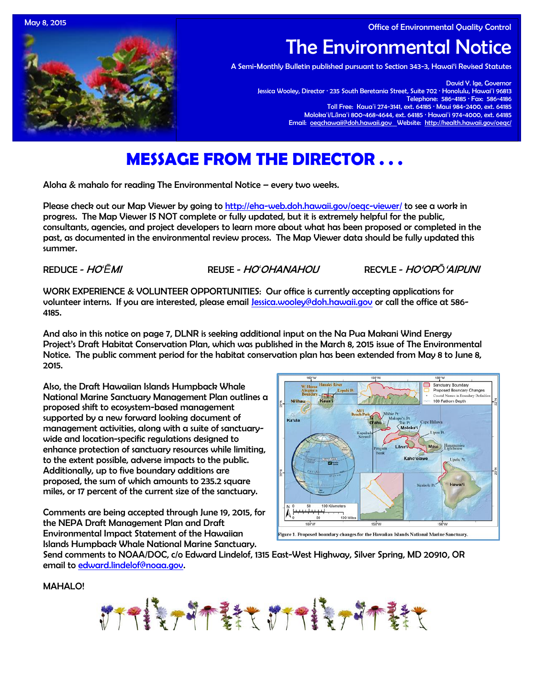May 8, 2015 **Office of Environmental Quality Control** 



# The Environmental Notice

A Semi-Monthly Bulletin published pursuant to Section 343-3, Hawai'i Revised Statutes

David Y. Ige, Governor Jessica Wooley, Director · 235 South Beretania Street, Suite 702 · Honolulu, Hawaiʻi 96813 Telephone: 586-4185 · Fax: 586-4186 Toll Free: Kauaʻi 274-3141, ext. 64185 · Maui 984-2400, ext. 64185 Molokaʻi/Lānaʻi 800-468-4644, ext. 64185 · Hawaiʻi 974-4000, ext. 64185 Email: [oeqchawaii@doh.hawaii.gov](mailto:oeqchawaii@doh.hawaii.gov) Website:<http://health.hawaii.gov/oeqc/>

# **MESSAGE FROM THE DIRECTOR . . .**

Aloha & mahalo for reading The Environmental Notice – every two weeks.

Please check out our Map Viewer by going to<http://eha-web.doh.hawaii.gov/oeqc-viewer/> to see a work in progress. The Map Viewer IS NOT complete or fully updated, but it is extremely helpful for the public, consultants, agencies, and project developers to learn more about what has been proposed or completed in the past, as documented in the environmental review process. The Map Viewer data should be fully updated this summer.

REDUCE - HO*ʻĒ*MI REUSE - HO*ʻ*OHANAHOU RECYLE - HO'OP*Ō*'AIPUNI

WORK EXPERIENCE & VOLUNTEER OPPORTUNITIES: Our office is currently accepting applications for volunteer interns. If you are interested, please email [Jessica.wooley@doh.hawaii.gov](mailto:Jessica.wooley@doh.hawaii.gov) or call the office at 586-4185.

And also in this notice on page 7, DLNR is seeking additional input on the Na Pua Makani Wind Energy Project's Draft Habitat Conservation Plan, which was published in the March 8, 2015 issue of The Environmental Notice. The public comment period for the habitat conservation plan has been extended from May 8 to June 8, 2015.

Also, the Draft Hawaiian Islands Humpback Whale National Marine Sanctuary Management Plan outlines a proposed shift to ecosystem-based management supported by a new forward looking document of management activities, along with a suite of sanctuarywide and location-specific regulations designed to enhance protection of sanctuary resources while limiting, to the extent possible, adverse impacts to the public. Additionally, up to five boundary additions are proposed, the sum of which amounts to 235.2 square miles, or 17 percent of the current size of the sanctuary.

Comments are being accepted through June 19, 2015, for the NEPA Draft Management Plan and Draft Environmental Impact Statement of the Hawaiian Islands Humpback Whale National Marine Sanctuary.



Send comments to NOAA/DOC, c/o Edward Lindelof, 1315 East-West Highway, Silver Spring, MD 20910, OR email to [edward.lindelof@noaa.gov.](mailto:edward.lindelof@noaa.gov)

MAHALO!

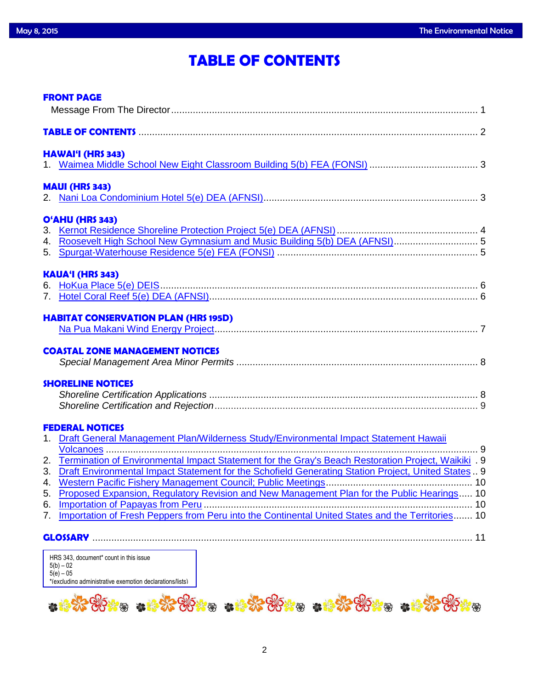# **TABLE OF CONTENTS**

|    | <b>FRONT PAGE</b>                                                                                      |  |  |  |
|----|--------------------------------------------------------------------------------------------------------|--|--|--|
|    | TABLE OF CONTENTS <b>CONTENTS</b> 2                                                                    |  |  |  |
|    | <b>HAWAI'I (HRS 343)</b>                                                                               |  |  |  |
|    |                                                                                                        |  |  |  |
|    | <b>MAUI (HRS 343)</b>                                                                                  |  |  |  |
|    |                                                                                                        |  |  |  |
|    | O'AHU (HRS 343)                                                                                        |  |  |  |
|    |                                                                                                        |  |  |  |
|    | 4. Roosevelt High School New Gymnasium and Music Building 5(b) DEA (AFNSI) 5                           |  |  |  |
|    |                                                                                                        |  |  |  |
|    | <b>KAUA'I (HRS 343)</b>                                                                                |  |  |  |
|    |                                                                                                        |  |  |  |
|    |                                                                                                        |  |  |  |
|    | <b>HABITAT CONSERVATION PLAN (HRS 195D)</b>                                                            |  |  |  |
|    |                                                                                                        |  |  |  |
|    | <b>COASTAL ZONE MANAGEMENT NOTICES</b>                                                                 |  |  |  |
|    |                                                                                                        |  |  |  |
|    | <b>SHORELINE NOTICES</b>                                                                               |  |  |  |
|    |                                                                                                        |  |  |  |
|    |                                                                                                        |  |  |  |
|    | <b>FEDERAL NOTICES</b>                                                                                 |  |  |  |
|    | 1. Draft General Management Plan/Wilderness Study/Environmental Impact Statement Hawaii                |  |  |  |
|    |                                                                                                        |  |  |  |
|    | 2. Termination of Environmental Impact Statement for the Gray's Beach Restoration Project, Waikiki 9   |  |  |  |
|    | 3. Draft Environmental Impact Statement for the Schofield Generating Station Project, United States  9 |  |  |  |
|    |                                                                                                        |  |  |  |
|    | 5. Proposed Expansion, Regulatory Revision and New Management Plan for the Public Hearings 10          |  |  |  |
| 7. | Importation of Fresh Peppers from Peru into the Continental United States and the Territories 10       |  |  |  |
|    |                                                                                                        |  |  |  |
|    |                                                                                                        |  |  |  |
|    | HRS 343, document* count in this issue<br>$5/h$ ) $-02$                                                |  |  |  |

5(b) – 02 5(e) – 05 \*(excluding administrative exemption declarations/lists)

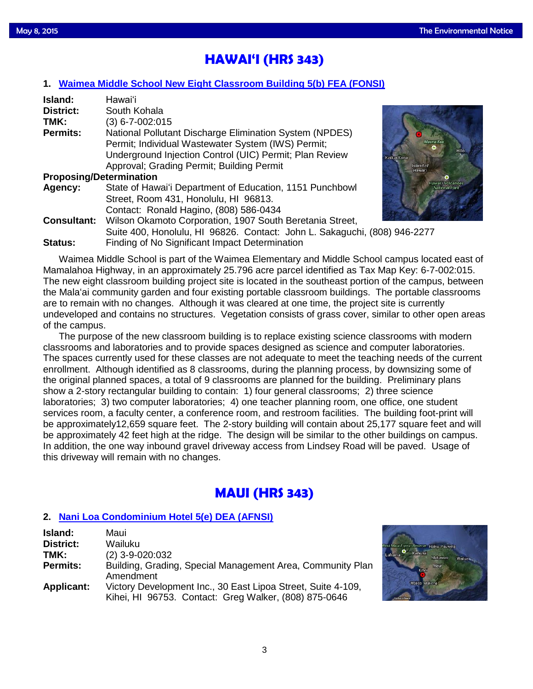# **HAWAI'I (HRS 343)**

# **1. [Waimea Middle School New Eight Classroom Building 5\(b\) FEA \(FONSI\)](http://oeqc.doh.hawaii.gov/Shared%20Documents/EA_and_EIS_Online_Library/Hawaii/2010s/2015-05-08-HA-5B-FEA-Waimea-Middle-School-New-Eight-Classroom-Building.pdf)**

| Island:                        | Hawai'i                                                      |
|--------------------------------|--------------------------------------------------------------|
| <b>District:</b>               | South Kohala                                                 |
| TMK:                           | $(3)$ 6-7-002:015                                            |
| <b>Permits:</b>                | National Pollutant Discharge Elimination System (NPDES)      |
|                                | Permit; Individual Wastewater System (IWS) Permit;           |
|                                | Underground Injection Control (UIC) Permit; Plan Review      |
|                                | Approval; Grading Permit; Building Permit                    |
| <b>Proposing/Determination</b> |                                                              |
| Agency:                        | State of Hawai'i Department of Education, 1151 Punchbowl     |
|                                | Street, Room 431, Honolulu, HI 96813.                        |
|                                | Contact: Ronald Hagino, (808) 586-0434                       |
| <b>Consultant:</b>             | Wilson Okamoto Corporation, 1907 South Beretania Street,     |
|                                | Suite 400, Honolulu, HI 96826. Contact: John L. Sakaguchi, ( |
|                                |                                                              |



808) 946-2277 **Status:** Finding of No Significant Impact Determination

Waimea Middle School is part of the Waimea Elementary and Middle School campus located east of Mamalahoa Highway, in an approximately 25.796 acre parcel identified as Tax Map Key: 6-7-002:015. The new eight classroom building project site is located in the southeast portion of the campus, between the Mala'ai community garden and four existing portable classroom buildings. The portable classrooms are to remain with no changes. Although it was cleared at one time, the project site is currently undeveloped and contains no structures. Vegetation consists of grass cover, similar to other open areas of the campus.

The purpose of the new classroom building is to replace existing science classrooms with modern classrooms and laboratories and to provide spaces designed as science and computer laboratories. The spaces currently used for these classes are not adequate to meet the teaching needs of the current enrollment. Although identified as 8 classrooms, during the planning process, by downsizing some of the original planned spaces, a total of 9 classrooms are planned for the building. Preliminary plans show a 2-story rectangular building to contain: 1) four general classrooms; 2) three science laboratories; 3) two computer laboratories; 4) one teacher planning room, one office, one student services room, a faculty center, a conference room, and restroom facilities. The building foot-print will be approximately12,659 square feet. The 2-story building will contain about 25,177 square feet and will be approximately 42 feet high at the ridge. The design will be similar to the other buildings on campus. In addition, the one way inbound gravel driveway access from Lindsey Road will be paved. Usage of this driveway will remain with no changes.

# **MAUI (HRS 343)**

# **2. [Nani Loa Condominium Hotel 5\(e\) DEA \(AFNSI\)](http://oeqc.doh.hawaii.gov/Shared%20Documents/EA_and_EIS_Online_Library/Maui/2010s/2015-05-08-MA-5E-DEA-Nani-Loa-Condominium-Hotel.pdf)**

| Island:           | Maui                                                                                                                  |
|-------------------|-----------------------------------------------------------------------------------------------------------------------|
| <b>District:</b>  | Wailuku                                                                                                               |
| TMK:              | $(2)$ 3-9-020:032                                                                                                     |
| <b>Permits:</b>   | Building, Grading, Special Management Area, Community Plan<br>Amendment                                               |
| <b>Applicant:</b> | Victory Development Inc., 30 East Lipoa Street, Suite 4-109,<br>Kihei, HI 96753. Contact: Greg Walker, (808) 875-0646 |

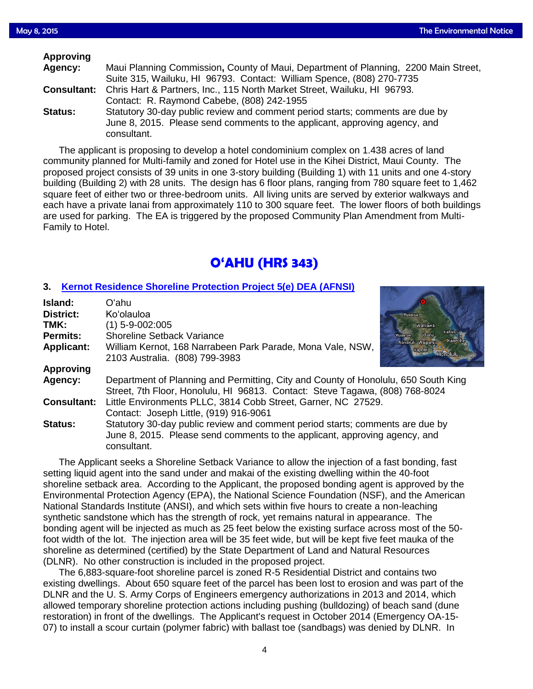| <b>Approving</b>   |                                                                                                                                                                            |
|--------------------|----------------------------------------------------------------------------------------------------------------------------------------------------------------------------|
| Agency:            | Maui Planning Commission, County of Maui, Department of Planning, 2200 Main Street,                                                                                        |
|                    | Suite 315, Wailuku, HI 96793. Contact: William Spence, (808) 270-7735                                                                                                      |
| <b>Consultant:</b> | Chris Hart & Partners, Inc., 115 North Market Street, Wailuku, HI 96793.                                                                                                   |
|                    | Contact: R. Raymond Cabebe, (808) 242-1955                                                                                                                                 |
| <b>Status:</b>     | Statutory 30-day public review and comment period starts; comments are due by<br>June 8, 2015. Please send comments to the applicant, approving agency, and<br>consultant. |

The applicant is proposing to develop a hotel condominium complex on 1.438 acres of land community planned for Multi-family and zoned for Hotel use in the Kihei District, Maui County. The proposed project consists of 39 units in one 3-story building (Building 1) with 11 units and one 4-story building (Building 2) with 28 units. The design has 6 floor plans, ranging from 780 square feet to 1,462 square feet of either two or three-bedroom units. All living units are served by exterior walkways and each have a private lanai from approximately 110 to 300 square feet. The lower floors of both buildings are used for parking. The EA is triggered by the proposed Community Plan Amendment from Multi-Family to Hotel.

# **O'AHU (HRS 343)**

# **3. [Kernot Residence Shoreline Protection Project 5\(e\) DEA \(AFNSI\)](http://oeqc.doh.hawaii.gov/Shared%20Documents/EA_and_EIS_Online_Library/Oahu/2010s/2015-05-08-OA-5E-DEA-Kernot-Residence-Shoreline-Protection-Project.pdf)**

| Island:            | Oʻahu                                                                              |                                             |  |
|--------------------|------------------------------------------------------------------------------------|---------------------------------------------|--|
| <b>District:</b>   | Ko'olauloa                                                                         | <b>Waialua</b>                              |  |
| TMK:               | (1) 5-9-002:005                                                                    | Wahiawā                                     |  |
| <b>Permits:</b>    | <b>Shoreline Setback Variance</b>                                                  | Kahalulu -<br>$0'$ ahu<br>Waianae<br>Kaneoh |  |
| <b>Applicant:</b>  | William Kernot, 168 Narrabeen Park Parade, Mona Vale, NSW,                         | Nanākuli Waipahu<br>Kapolei                 |  |
|                    | 2103 Australia. (808) 799-3983                                                     | Honolulu                                    |  |
| <b>Approving</b>   |                                                                                    |                                             |  |
| Agency:            | Department of Planning and Permitting, City and County of Honolulu, 650 South King |                                             |  |
|                    | Street, 7th Floor, Honolulu, HI 96813. Contact: Steve Tagawa, (808) 768-8024       |                                             |  |
| <b>Consultant:</b> | Little Environments PLLC, 3814 Cobb Street, Garner, NC 27529.                      |                                             |  |
|                    | Contact: Joseph Little, (919) 916-9061                                             |                                             |  |
| Status:            | Statutory 30-day public review and comment period starts; comments are due by      |                                             |  |
|                    | June 8, 2015. Please send comments to the applicant, approving agency, and         |                                             |  |
|                    | consultant.                                                                        |                                             |  |
|                    |                                                                                    |                                             |  |

The Applicant seeks a Shoreline Setback Variance to allow the injection of a fast bonding, fast setting liquid agent into the sand under and makai of the existing dwelling within the 40-foot shoreline setback area. According to the Applicant, the proposed bonding agent is approved by the Environmental Protection Agency (EPA), the National Science Foundation (NSF), and the American National Standards Institute (ANSI), and which sets within five hours to create a non-leaching synthetic sandstone which has the strength of rock, yet remains natural in appearance. The bonding agent will be injected as much as 25 feet below the existing surface across most of the 50 foot width of the lot. The injection area will be 35 feet wide, but will be kept five feet mauka of the shoreline as determined (certified) by the State Department of Land and Natural Resources (DLNR). No other construction is included in the proposed project.

The 6,883-square-foot shoreline parcel is zoned R-5 Residential District and contains two existing dwellings. About 650 square feet of the parcel has been lost to erosion and was part of the DLNR and the U. S. Army Corps of Engineers emergency authorizations in 2013 and 2014, which allowed temporary shoreline protection actions including pushing (bulldozing) of beach sand (dune restoration) in front of the dwellings. The Applicant's request in October 2014 (Emergency OA-15- 07) to install a scour curtain (polymer fabric) with ballast toe (sandbags) was denied by DLNR. In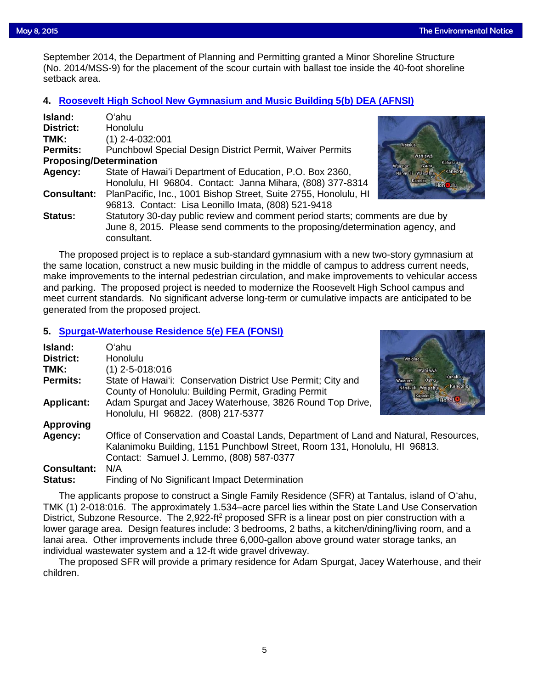September 2014, the Department of Planning and Permitting granted a Minor Shoreline Structure<br>(No. 2014/MSS-9) for the placement of the scour curtain with ballast toe inside the 40-foot shorelin (No. 2014/MSS-9) for the placement of the scour curtain with ballast toe inside the 40-foot shoreline setback area.

### **4. [Roosevelt High School New Gymnasium and Music Building 5\(b\) DEA \(AFNSI\)](http://oeqc.doh.hawaii.gov/Shared%20Documents/EA_and_EIS_Online_Library/Oahu/2010s/2015-05-08-OA-5B-DEA-Roosevelt-High-School-New-Gymnasium-and-Music-Building.pdf)**

| Island:                        | Oʻahu                                                                         |                                         |
|--------------------------------|-------------------------------------------------------------------------------|-----------------------------------------|
| <b>District:</b>               | <b>Honolulu</b>                                                               |                                         |
| TMK:                           | $(1)$ 2-4-032:001                                                             |                                         |
| <b>Permits:</b>                | <b>Punchbowl Special Design District Permit, Waiver Permits</b>               | Waialua                                 |
| <b>Proposing/Determination</b> |                                                                               | Wahiawa<br>Kahalulu<br>O ahu<br>Walanae |
| Agency:                        | State of Hawai'i Department of Education, P.O. Box 2360,                      | Kaned<br>Nanakuli Waipahu               |
|                                | Honolulu, HI 96804. Contact: Janna Mihara, (808) 377-8314                     | Kapolei<br>Hon ulu                      |
| <b>Consultant:</b>             | PlanPacific, Inc., 1001 Bishop Street, Suite 2755, Honolulu, HI               |                                         |
|                                | 96813. Contact: Lisa Leonillo Imata, (808) 521-9418                           |                                         |
| <b>Status:</b>                 | Statutory 30-day public review and comment period starts; comments are due by |                                         |
|                                | June 8, 2015. Please send comments to the proposing/determination agency, and |                                         |
|                                | consultant.                                                                   |                                         |

The proposed project is to replace a sub-standard gymnasium with a new two-story gymnasium at the same location, construct a new music building in the middle of campus to address current needs, make improvements to the internal pedestrian circulation, and make improvements to vehicular access and parking. The proposed project is needed to modernize the Roosevelt High School campus and meet current standards. No significant adverse long-term or cumulative impacts are anticipated to be generated from the proposed project.

### **5. [Spurgat-Waterhouse Residence 5\(e\) FEA \(FONSI\)](http://oeqc.doh.hawaii.gov/Shared%20Documents/EA_and_EIS_Online_Library/Oahu/2010s/2015-05-08-OA-5E-FEA-Spurgat-Waterhouse-Residence.pdf)**

| Island:<br><b>District:</b> | Oʻahu<br>Honolulu                                                                                                                                                                                             |                                                                                |  |
|-----------------------------|---------------------------------------------------------------------------------------------------------------------------------------------------------------------------------------------------------------|--------------------------------------------------------------------------------|--|
|                             |                                                                                                                                                                                                               | <b>Waialua</b>                                                                 |  |
| TMK:                        | $(1)$ 2-5-018:016                                                                                                                                                                                             | Wahiawa                                                                        |  |
| <b>Permits:</b>             | State of Hawai'i: Conservation District Use Permit; City and<br>County of Honolulu: Building Permit, Grading Permit                                                                                           | Kahalulu.<br>O'ahu<br><b>Waianae</b><br>Kaneohe<br>Nanakuli Waipahu<br>Kapolei |  |
| <b>Applicant:</b>           | Adam Spurgat and Jacey Waterhouse, 3826 Round Top Drive,<br>Honolulu, HI 96822. (808) 217-5377                                                                                                                | HonolO                                                                         |  |
| <b>Approving</b>            |                                                                                                                                                                                                               |                                                                                |  |
| Agency:                     | Office of Conservation and Coastal Lands, Department of Land and Natural, Resources,<br>Kalanimoku Building, 1151 Punchbowl Street, Room 131, Honolulu, HI 96813.<br>Contact: Samuel J. Lemmo, (808) 587-0377 |                                                                                |  |
| <b>Consultant:</b>          | N/A                                                                                                                                                                                                           |                                                                                |  |

**Status:** Finding of No Significant Impact Determination

The applicants propose to construct a Single Family Residence (SFR) at Tantalus, island of O'ahu, TMK (1) 2-018:016. The approximately 1.534–acre parcel lies within the State Land Use Conservation District, Subzone Resource. The 2,922-ft<sup>2</sup> proposed SFR is a linear post on pier construction with a lower garage area. Design features include: 3 bedrooms, 2 baths, a kitchen/dining/living room, and a lanai area. Other improvements include three 6,000-gallon above ground water storage tanks, an individual wastewater system and a 12-ft wide gravel driveway.

The proposed SFR will provide a primary residence for Adam Spurgat, Jacey Waterhouse, and their children.



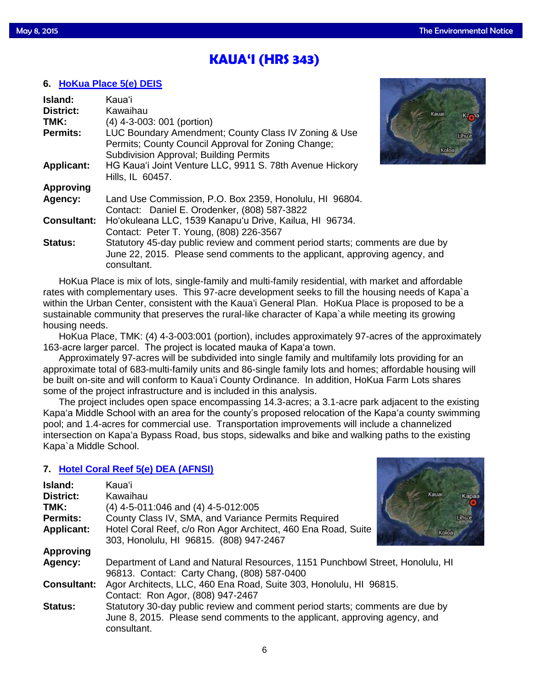# **KAUA'I (HRS 343)**

# **6. [HoKua Place 5\(e\) DEIS](http://oeqc.doh.hawaii.gov/Shared%20Documents/EA_and_EIS_Online_Library/Kauai/2010s/2015-05-08-KA-5E-DEIS-HoKua-Place.pdf)**

| Island:            | <b>Kaua</b> 'i                                                                |       |
|--------------------|-------------------------------------------------------------------------------|-------|
| <b>District:</b>   | Kawaihau                                                                      | Kauai |
| TMK:               | (4) 4-3-003: 001 (portion)                                                    |       |
| <b>Permits:</b>    | LUC Boundary Amendment; County Class IV Zoning & Use                          |       |
|                    | Permits; County Council Approval for Zoning Change;                           |       |
|                    | Subdivision Approval; Building Permits                                        | Kol   |
| <b>Applicant:</b>  | HG Kaua'i Joint Venture LLC, 9911 S. 78th Avenue Hickory                      |       |
|                    | Hills, IL 60457.                                                              |       |
| <b>Approving</b>   |                                                                               |       |
| Agency:            | Land Use Commission, P.O. Box 2359, Honolulu, HI 96804.                       |       |
|                    | Contact: Daniel E. Orodenker, (808) 587-3822                                  |       |
| <b>Consultant:</b> | Ho'okuleana LLC, 1539 Kanapu'u Drive, Kailua, HI 96734.                       |       |
|                    | Contact: Peter T. Young, (808) 226-3567                                       |       |
| <b>Status:</b>     | Statutory 45-day public review and comment period starts; comments are due by |       |
|                    | June 22, 2015. Please send comments to the applicant, approving agency, and   |       |
|                    | consultant.                                                                   |       |



HoKua Place, TMK: (4) 4-3-003:001 (portion), includes approximately 97-acres of the approximately 163-acre larger parcel. The project is located mauka of Kapaʻa town.

Approximately 97-acres will be subdivided into single family and multifamily lots providing for an approximate total of 683-multi-family units and 86-single family lots and homes; affordable housing will be built on-site and will conform to Kauaʻi County Ordinance. In addition, HoKua Farm Lots shares some of the project infrastructure and is included in this analysis.

The project includes open space encompassing 14.3-acres; a 3.1-acre park adjacent to the existing Kapaʻa Middle School with an area for the county's proposed relocation of the Kapaʻa county swimming pool; and 1.4-acres for commercial use. Transportation improvements will include a channelized intersection on Kapaʻa Bypass Road, bus stops, sidewalks and bike and walking paths to the existing Kapa`a Middle School.

# **7. [Hotel Coral Reef 5\(e\) DEA \(AFNSI\)](http://oeqc.doh.hawaii.gov/Shared%20Documents/EA_and_EIS_Online_Library/Kauai/2010s/2015-05-08-KA-5E-DEA-Hotel-Coral-Reef.pdf)**

| Island:            | Kaua'i                                                                                                                                                                     |               |  |
|--------------------|----------------------------------------------------------------------------------------------------------------------------------------------------------------------------|---------------|--|
| <b>District:</b>   | Kawaihau                                                                                                                                                                   | Kauai<br>Kapa |  |
| TMK:               | $(4)$ 4-5-011:046 and $(4)$ 4-5-012:005                                                                                                                                    |               |  |
| <b>Permits:</b>    | County Class IV, SMA, and Variance Permits Required                                                                                                                        | <b>Linu</b> e |  |
| <b>Applicant:</b>  | Hotel Coral Reef, c/o Ron Agor Architect, 460 Ena Road, Suite                                                                                                              | Koloa         |  |
|                    | 303, Honolulu, HI 96815. (808) 947-2467                                                                                                                                    |               |  |
| <b>Approving</b>   |                                                                                                                                                                            |               |  |
| Agency:            | Department of Land and Natural Resources, 1151 Punchbowl Street, Honolulu, HI<br>96813. Contact: Carty Chang, (808) 587-0400                                               |               |  |
| <b>Consultant:</b> | Agor Architects, LLC, 460 Ena Road, Suite 303, Honolulu, HI 96815.<br>Contact: Ron Agor, (808) 947-2467                                                                    |               |  |
| <b>Status:</b>     | Statutory 30-day public review and comment period starts; comments are due by<br>June 8, 2015. Please send comments to the applicant, approving agency, and<br>consultant. |               |  |

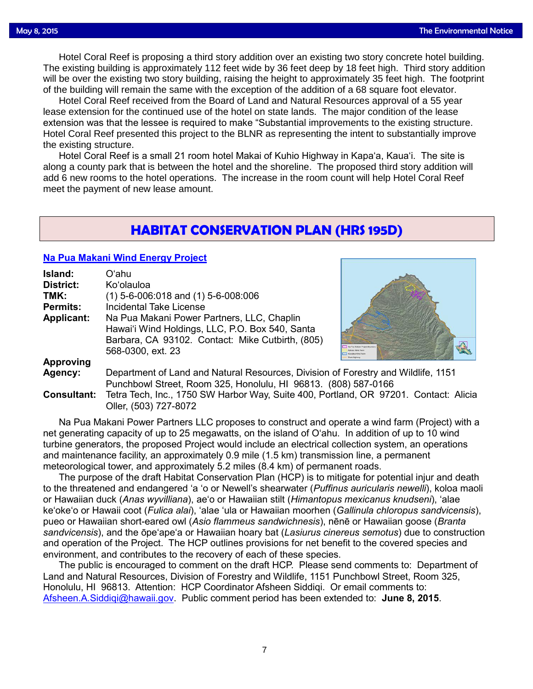Hotel Coral Reef is proposing a third story addition over an existing two story concrete hotel building.<br>Lexisting building is approximately 112 feet wide by 36 feet deep by 18 feet high. Third story addition The existing building is approximately 112 feet wide by 36 feet deep by 18 feet high. Third story addition will be over the existing two story building, raising the height to approximately 35 feet high. The footprint of the building will remain the same with the exception of the addition of a 68 square foot elevator.

Hotel Coral Reef received from the Board of Land and Natural Resources approval of a 55 year lease extension for the continued use of the hotel on state lands. The major condition of the lease extension was that the lessee is required to make "Substantial improvements to the existing structure. Hotel Coral Reef presented this project to the BLNR as representing the intent to substantially improve the existing structure.

Hotel Coral Reef is a small 21 room hotel Makai of Kuhio Highway in Kapa'a, Kaua'i. The site is along a county park that is between the hotel and the shoreline. The proposed third story addition will add 6 new rooms to the hotel operations. The increase in the room count will help Hotel Coral Reef meet the payment of new lease amount.

# **HABITAT CONSERVATION PLAN (HRS 195D)**

# **[Na Pua Makani Wind Energy Project](http://oeqc.doh.hawaii.gov/Shared%20Documents/EA_and_EIS_Online_Library/NEPA%20and%20Other%20Documents/2015-03-08-HCP-Na-Pua-Makani-Wind-Energy-Project.pdf)**

| Island:            | Oʻahu                                                                                |                           |  |  |
|--------------------|--------------------------------------------------------------------------------------|---------------------------|--|--|
| <b>District:</b>   | Ko'olauloa                                                                           |                           |  |  |
| TMK:               | $(1)$ 5-6-006:018 and $(1)$ 5-6-008:006                                              |                           |  |  |
| <b>Permits:</b>    | <b>Incidental Take License</b>                                                       |                           |  |  |
| <b>Applicant:</b>  | Na Pua Makani Power Partners, LLC, Chaplin                                           |                           |  |  |
|                    | Hawai'i Wind Holdings, LLC, P.O. Box 540, Santa                                      |                           |  |  |
|                    | Barbara, CA 93102. Contact: Mike Cutbirth, (805)                                     |                           |  |  |
|                    | 568-0300, ext. 23                                                                    | <b>Calculus Wind Face</b> |  |  |
| <b>Approving</b>   |                                                                                      |                           |  |  |
| Agency:            | Department of Land and Natural Resources, Division of Forestry and Wildlife, 1151    |                           |  |  |
|                    | Punchbowl Street, Room 325, Honolulu, HI 96813. (808) 587-0166                       |                           |  |  |
| <b>Consultant:</b> | Tetra Tech, Inc., 1750 SW Harbor Way, Suite 400, Portland, OR 97201. Contact: Alicia |                           |  |  |

Oller, (503) 727-8072

Na Pua Makani Power Partners LLC proposes to construct and operate a wind farm (Project) with a net generating capacity of up to 25 megawatts, on the island of O'ahu. In addition of up to 10 wind turbine generators, the proposed Project would include an electrical collection system, an operations and maintenance facility, an approximately 0.9 mile (1.5 km) transmission line, a permanent meteorological tower, and approximately 5.2 miles (8.4 km) of permanent roads.

The purpose of the draft Habitat Conservation Plan (HCP) is to mitigate for potential injur and death to the threatened and endangered 'a 'o or Newell's shearwater (*Puffinus auricularis newelli*), koloa maoli or Hawaiian duck (*Anas wyvilliana*), ae'o or Hawaiian stilt (*Himantopus mexicanus knudseni*), 'alae ke'oke'o or Hawaii coot (*Fulica alai*), 'alae 'ula or Hawaiian moorhen (*Gallinula chloropus sandvicensis*), pueo or Hawaiian short-eared owl (*Asio flammeus sandwichnesis*), nēnē or Hawaiian goose (*Branta sandvicensis*), and the ōpe'ape'a or Hawaiian hoary bat (*Lasiurus cinereus semotus*) due to construction and operation of the Project. The HCP outlines provisions for net benefit to the covered species and environment, and contributes to the recovery of each of these species.

The public is encouraged to comment on the draft HCP. Please send comments to: Department of Land and Natural Resources, Division of Forestry and Wildlife, 1151 Punchbowl Street, Room 325, Honolulu, HI 96813. Attention: HCP Coordinator Afsheen Siddiqi. Or email comments to: [Afsheen.A.Siddiqi@hawaii.gov.](mailto:Afsheen.A.Siddiqi@hawaii.gov) Public comment period has been extended to: **June 8, 2015**.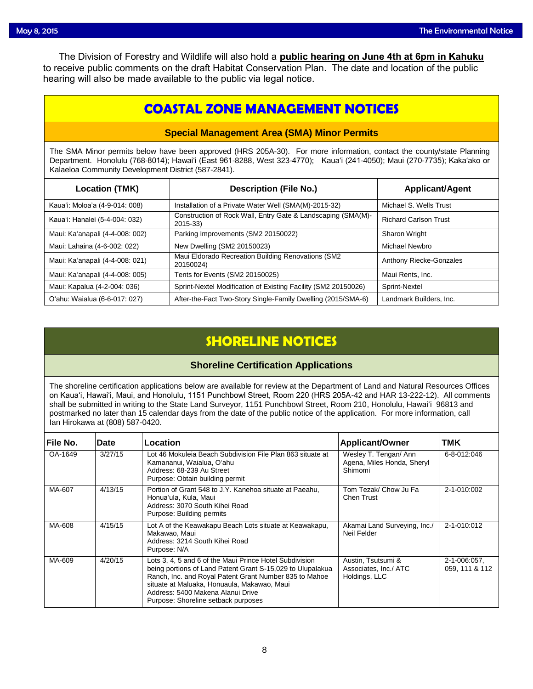The Division of Forestry and Wildlife will also hold a **public hearing on June 4th at 6pm in Kahuku** to receive public comments on the draft Habitat Conservation Plan. The date and location of the public hearing will also be made available to the public via legal notice.

# **COASTAL ZONE MANAGEMENT NOTICES**

### **Special Management Area (SMA) Minor Permits**

The SMA Minor permits below have been approved (HRS 205A-30). For more information, contact the county/state Planning Department. Honolulu (768-8014); Hawaiʻi (East 961-8288, West 323-4770); Kauaʻi (241-4050); Maui (270-7735); Kakaʻako or Kalaeloa Community Development District (587-2841).

| <b>Location (TMK)</b>           | <b>Description (File No.)</b>                                               | <b>Applicant/Agent</b>       |
|---------------------------------|-----------------------------------------------------------------------------|------------------------------|
| Kaua'i: Moloa'a (4-9-014: 008)  | Installation of a Private Water Well (SMA(M)-2015-32)                       | Michael S. Wells Trust       |
| Kaua'i: Hanalei (5-4-004: 032)  | Construction of Rock Wall, Entry Gate & Landscaping (SMA(M)-<br>$2015 - 33$ | <b>Richard Carlson Trust</b> |
| Maui: Ka'anapali (4-4-008: 002) | Parking Improvements (SM2 20150022)                                         | Sharon Wright                |
| Maui: Lahaina (4-6-002: 022)    | New Dwelling (SM2 20150023)                                                 | Michael Newbro               |
| Maui: Ka'anapali (4-4-008: 021) | Maui Eldorado Recreation Building Renovations (SM2<br>20150024)             | Anthony Riecke-Gonzales      |
| Maui: Ka'anapali (4-4-008: 005) | Tents for Events (SM2 20150025)                                             | Maui Rents, Inc.             |
| Maui: Kapalua (4-2-004: 036)    | Sprint-Nextel Modification of Existing Facility (SM2 20150026)              | Sprint-Nextel                |
| O'ahu: Waialua (6-6-017: 027)   | After-the-Fact Two-Story Single-Family Dwelling (2015/SMA-6)                | Landmark Builders, Inc.      |

# **SHORELINE NOTICES**

## **Shoreline Certification Applications**

The shoreline certification applications below are available for review at the Department of Land and Natural Resources Offices on Kauaʻi, Hawaiʻi, Maui, and Honolulu, 1151 Punchbowl Street, Room 220 (HRS 205A-42 and HAR 13-222-12). All comments shall be submitted in writing to the State Land Surveyor, 1151 Punchbowl Street, Room 210, Honolulu, Hawai'i 96813 and postmarked no later than 15 calendar days from the date of the public notice of the application. For more information, call Ian Hirokawa at (808) 587-0420.

| File No. | <b>Date</b> | Location                                                                                                                                                                                                                                                                                                   | <b>Applicant/Owner</b>                                         | <b>TMK</b>                     |
|----------|-------------|------------------------------------------------------------------------------------------------------------------------------------------------------------------------------------------------------------------------------------------------------------------------------------------------------------|----------------------------------------------------------------|--------------------------------|
| OA-1649  | 3/27/15     | Lot 46 Mokuleia Beach Subdivision File Plan 863 situate at<br>Kamananui, Waialua, Oʻahu<br>Address: 68-239 Au Street<br>Purpose: Obtain building permit                                                                                                                                                    | Wesley T. Tengan/ Ann<br>Agena, Miles Honda, Sheryl<br>Shimomi | 6-8-012:046                    |
| MA-607   | 4/13/15     | Portion of Grant 548 to J.Y. Kanehoa situate at Paeahu.<br>Honua'ula, Kula, Maui<br>Address: 3070 South Kihei Road<br>Purpose: Building permits                                                                                                                                                            | Tom Tezak/ Chow Ju Fa<br><b>Chen Trust</b>                     | 2-1-010:002                    |
| MA-608   | 4/15/15     | Lot A of the Keawakapu Beach Lots situate at Keawakapu,<br>Makawao, Maui<br>Address: 3214 South Kihei Road<br>Purpose: N/A                                                                                                                                                                                 | Akamai Land Surveying, Inc./<br>Neil Felder                    | 2-1-010:012                    |
| MA-609   | 4/20/15     | Lots 3, 4, 5 and 6 of the Maui Prince Hotel Subdivision<br>being portions of Land Patent Grant S-15,029 to Ulupalakua<br>Ranch, Inc. and Royal Patent Grant Number 835 to Mahoe<br>situate at Maluaka, Honuaula, Makawao, Maui<br>Address: 5400 Makena Alanui Drive<br>Purpose: Shoreline setback purposes | Austin, Tsutsumi &<br>Associates, Inc./ ATC<br>Holdings, LLC   | 2-1-006:057,<br>059, 111 & 112 |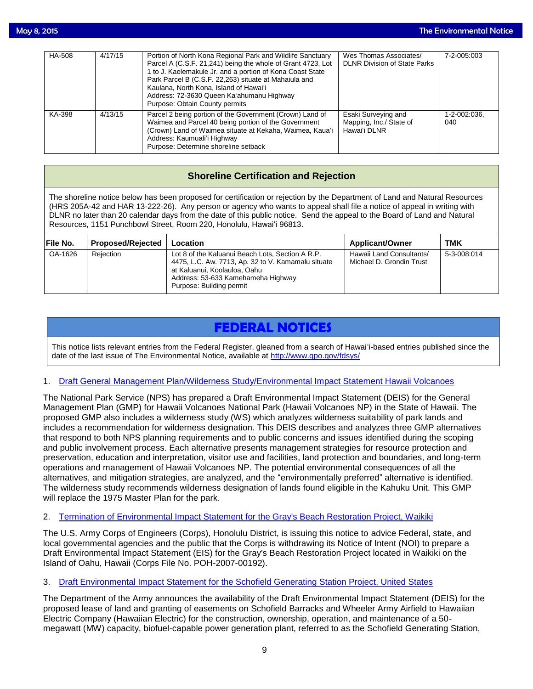| HA-508 | 4/17/15 | Portion of North Kona Regional Park and Wildlife Sanctuary<br>Parcel A (C.S.F. 21,241) being the whole of Grant 4723, Lot<br>1 to J. Kaelemakule Jr. and a portion of Kona Coast State<br>Park Parcel B (C.S.F. 22,263) situate at Mahaiula and<br>Kaulana, North Kona, Island of Hawai'i<br>Address: 72-3630 Queen Ka'ahumanu Highway<br>Purpose: Obtain County permits | Wes Thomas Associates/<br><b>DLNR Division of State Parks</b>  | 7-2-005:003         |
|--------|---------|--------------------------------------------------------------------------------------------------------------------------------------------------------------------------------------------------------------------------------------------------------------------------------------------------------------------------------------------------------------------------|----------------------------------------------------------------|---------------------|
| KA-398 | 4/13/15 | Parcel 2 being portion of the Government (Crown) Land of<br>Waimea and Parcel 40 being portion of the Government<br>(Crown) Land of Waimea situate at Kekaha, Waimea, Kaua'i<br>Address: Kaumuali'i Highway<br>Purpose: Determine shoreline setback                                                                                                                      | Esaki Surveying and<br>Mapping, Inc./ State of<br>Hawai'i DLNR | 1-2-002:036.<br>040 |

## **Shoreline Certification and Rejection**

The shoreline notice below has been proposed for certification or rejection by the Department of Land and Natural Resources (HRS 205A-42 and HAR 13-222-26). Any person or agency who wants to appeal shall file a notice of appeal in writing with DLNR no later than 20 calendar days from the date of this public notice. Send the appeal to the Board of Land and Natural Resources, 1151 Punchbowl Street, Room 220, Honolulu, Hawai'i 96813.

| File No. | <b>Proposed/Rejected</b> | Location                                                                                                                                                                                                 | <b>Applicant/Owner</b>                               | TMK         |
|----------|--------------------------|----------------------------------------------------------------------------------------------------------------------------------------------------------------------------------------------------------|------------------------------------------------------|-------------|
| OA-1626  | Rejection                | Lot 8 of the Kaluanui Beach Lots, Section A R.P.<br>4475, L.C. Aw. 7713, Ap. 32 to V. Kamamalu situate<br>at Kaluanui, Koolauloa, Oahu<br>Address: 53-633 Kamehameha Highway<br>Purpose: Building permit | Hawaii Land Consultants/<br>Michael D. Grondin Trust | 5-3-008:014 |

# **FEDERAL NOTICES**

This notice lists relevant entries from the Federal Register, gleaned from a search of Hawai'i-based entries published since the date of the last issue of The Environmental Notice, available at<http://www.gpo.gov/fdsys/>

### 1. [Draft General Management Plan/Wilderness Study/Environmental Impact Statement Hawaii Volcanoes](http://www.gpo.gov/fdsys/pkg/FR-2015-05-06/pdf/2015-10528.pdf)

The National Park Service (NPS) has prepared a Draft Environmental Impact Statement (DEIS) for the General Management Plan (GMP) for Hawaii Volcanoes National Park (Hawaii Volcanoes NP) in the State of Hawaii. The proposed GMP also includes a wilderness study (WS) which analyzes wilderness suitability of park lands and includes a recommendation for wilderness designation. This DEIS describes and analyzes three GMP alternatives that respond to both NPS planning requirements and to public concerns and issues identified during the scoping and public involvement process. Each alternative presents management strategies for resource protection and preservation, education and interpretation, visitor use and facilities, land protection and boundaries, and long-term operations and management of Hawaii Volcanoes NP. The potential environmental consequences of all the alternatives, and mitigation strategies, are analyzed, and the "environmentally preferred" alternative is identified. The wilderness study recommends wilderness designation of lands found eligible in the Kahuku Unit. This GMP will replace the 1975 Master Plan for the park.

### 2. [Termination of Environmental Impact Statement for the Gray's Beach Restoration Project, Waikiki](http://www.gpo.gov/fdsys/pkg/FR-2015-05-06/pdf/2015-10618.pdf)

The U.S. Army Corps of Engineers (Corps), Honolulu District, is issuing this notice to advice Federal, state, and local governmental agencies and the public that the Corps is withdrawing its Notice of Intent (NOI) to prepare a Draft Environmental Impact Statement (EIS) for the Gray's Beach Restoration Project located in Waikiki on the Island of Oahu, Hawaii (Corps File No. POH-2007-00192).

### 3. [Draft Environmental Impact Statement for the Schofield Generating Station Project, United States](http://www.gpo.gov/fdsys/pkg/FR-2015-04-24/pdf/2015-09518.pdf)

The Department of the Army announces the availability of the Draft Environmental Impact Statement (DEIS) for the proposed lease of land and granting of easements on Schofield Barracks and Wheeler Army Airfield to Hawaiian Electric Company (Hawaiian Electric) for the construction, ownership, operation, and maintenance of a 50 megawatt (MW) capacity, biofuel-capable power generation plant, referred to as the Schofield Generating Station,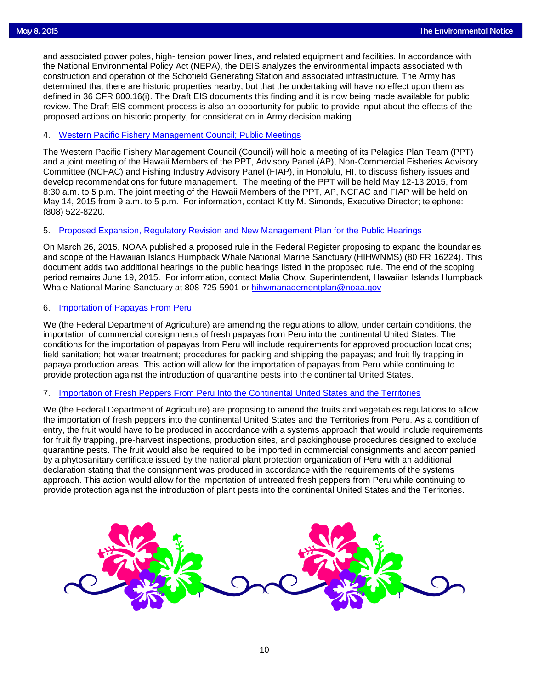and associated power poles, high- tension power lines, and related equipment and facilities. In accordance with<br>the National Environmental Policy Act (NEPA), the DEIS analyzes the environmental impacts associated with the National Environmental Policy Act (NEPA), the DEIS analyzes the environmental impacts associated with construction and operation of the Schofield Generating Station and associated infrastructure. The Army has determined that there are historic properties nearby, but that the undertaking will have no effect upon them as defined in 36 CFR 800.16(i). The Draft EIS documents this finding and it is now being made available for public review. The Draft EIS comment process is also an opportunity for public to provide input about the effects of the proposed actions on historic property, for consideration in Army decision making.

### 4. [Western Pacific Fishery Management Council; Public Meetings](http://www.gpo.gov/fdsys/pkg/FR-2015-04-24/pdf/2015-09586.pdf)

The Western Pacific Fishery Management Council (Council) will hold a meeting of its Pelagics Plan Team (PPT) and a joint meeting of the Hawaii Members of the PPT, Advisory Panel (AP), Non-Commercial Fisheries Advisory Committee (NCFAC) and Fishing Industry Advisory Panel (FIAP), in Honolulu, HI, to discuss fishery issues and develop recommendations for future management. The meeting of the PPT will be held May 12-13 2015, from 8:30 a.m. to 5 p.m. The joint meeting of the Hawaii Members of the PPT, AP, NCFAC and FIAP will be held on May 14, 2015 from 9 a.m. to 5 p.m. For information, contact Kitty M. Simonds, Executive Director; telephone: (808) 522-8220.

### 5. [Proposed Expansion, Regulatory Revision and New Management Plan for the Public Hearings](http://www.gpo.gov/fdsys/pkg/FR-2015-04-29/pdf/2015-10015.pdf)

On March 26, 2015, NOAA published a proposed rule in the Federal Register proposing to expand the boundaries and scope of the Hawaiian Islands Humpback Whale National Marine Sanctuary (HIHWNMS) (80 FR 16224). This document adds two additional hearings to the public hearings listed in the proposed rule. The end of the scoping period remains June 19, 2015. For information, contact Malia Chow, Superintendent, Hawaiian Islands Humpback Whale National Marine Sanctuary at 808-725-5901 or [hihwmanagementplan@noaa.gov](mailto:hihwmanagementplan@noaa.gov)

### 6. [Importation of Papayas From Peru](http://www.gpo.gov/fdsys/pkg/FR-2015-04-24/pdf/2015-09576.pdf)

We (the Federal Department of Agriculture) are amending the regulations to allow, under certain conditions, the importation of commercial consignments of fresh papayas from Peru into the continental United States. The conditions for the importation of papayas from Peru will include requirements for approved production locations; field sanitation; hot water treatment; procedures for packing and shipping the papayas; and fruit fly trapping in papaya production areas. This action will allow for the importation of papayas from Peru while continuing to provide protection against the introduction of quarantine pests into the continental United States.

#### 7. [Importation of Fresh Peppers From Peru Into the Continental United States and the Territories](http://www.gpo.gov/fdsys/pkg/FR-2015-04-24/pdf/2015-09577.pdf)

We (the Federal Department of Agriculture) are proposing to amend the fruits and vegetables regulations to allow the importation of fresh peppers into the continental United States and the Territories from Peru. As a condition of entry, the fruit would have to be produced in accordance with a systems approach that would include requirements for fruit fly trapping, pre-harvest inspections, production sites, and packinghouse procedures designed to exclude quarantine pests. The fruit would also be required to be imported in commercial consignments and accompanied by a phytosanitary certificate issued by the national plant protection organization of Peru with an additional declaration stating that the consignment was produced in accordance with the requirements of the systems approach. This action would allow for the importation of untreated fresh peppers from Peru while continuing to provide protection against the introduction of plant pests into the continental United States and the Territories.